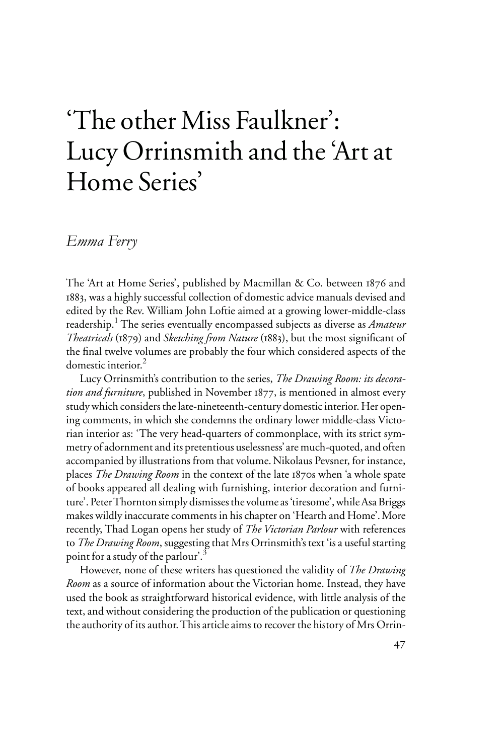# 'The other Miss Faulkner': Lucy Orrinsmith and the 'Art at Home Series'

# *Emma Ferry*

The 'Art at Home Series', published by Macmillan & Co. between 1876 and 1883, was a highly successful collection of domestic advice manuals devised and edited by the Rev. William John Loftie aimed at a growing lower-middle-class readership.<sup>1</sup> The series eventually encompassed subjects as diverse as *Amateur Theatricals* (1879) and *Sketching from Nature* (1883), but the most significant of the final twelve volumes are probably the four which considered aspects of the domestic interior.<sup>2</sup>

Lucy Orrinsmith's contribution to the series, *The Drawing Room: its decoration and furniture*, published in November 1877, is mentioned in almost every study which considers the late-nineteenth-century domestic interior. Her opening comments, in which she condemns the ordinary lower middle-class Victorian interior as: 'The very head-quarters of commonplace, with its strict symmetry of adornment and its pretentious uselessness' are much-quoted, and often accompanied by illustrations from that volume.Nikolaus Pevsner, for instance, places *The Drawing Room* in the context of the late 1870s when 'a whole spate of books appeared all dealing with furnishing, interior decoration and furniture'. Peter Thornton simply dismisses the volume as 'tiresome', while Asa Briggs makes wildly inaccurate comments in his chapter on 'Hearth and Home'. More recently, Thad Logan opens her study of *The Victorian Parlour* with references to *The Drawing Room*, suggesting that Mrs Orrinsmith's text 'is a useful starting point for a study of the parlour'.3

However, none of these writers has questioned the validity of *The Drawing Room* as a source of information about the Victorian home. Instead, they have used the book as straightforward historical evidence, with little analysis of the text, and without considering the production of the publication or questioning the authority of its author. This article aims to recover the history of Mrs Orrin-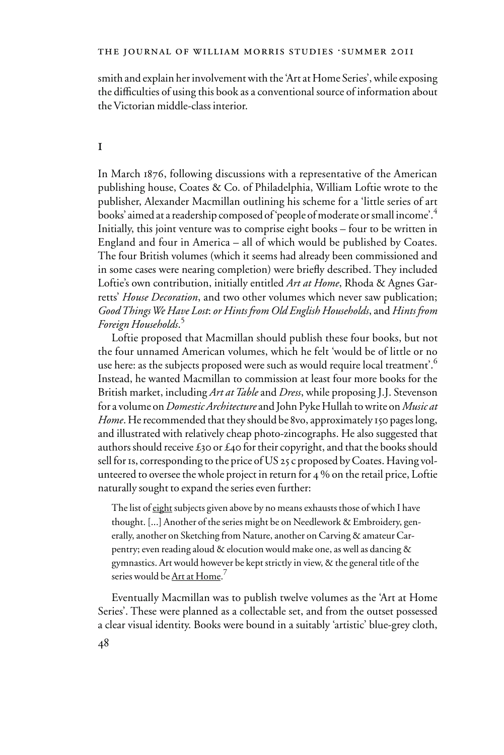smith and explain her involvement with the 'Art at Home Series', while exposing the difficulties of using this book as a conventional source of information about the Victorian middle-class interior.

#### i

In March 1876, following discussions with a representative of the American publishing house, Coates & Co. of Philadelphia, William Loftie wrote to the publisher, Alexander Macmillan outlining his scheme for a 'little series of art books' aimed at a readership composed of 'people of moderate or small income'.<sup>4</sup> Initially, this joint venture was to comprise eight books – four to be written in England and four in America – all of which would be published by Coates. The four British volumes (which it seems had already been commissioned and in some cases were nearing completion) were briefly described. They included Loftie's own contribution, initially entitled *Art at Home*, Rhoda & Agnes Garretts' *House Decoration*, and two other volumes which never saw publication; *Good Things We Have Lost*: *or Hints from Old English Households*, and *Hints from Foreign Households*. 5

Loftie proposed that Macmillan should publish these four books, but not the four unnamed American volumes, which he felt 'would be of little or no use here: as the subjects proposed were such as would require local treatment'.<sup>6</sup> Instead, he wanted Macmillan to commission at least four more books for the British market, including *Art at Table* and *Dress*, while proposing J.J. Stevenson for a volume on *Domestic Architecture* and John Pyke Hullah to write on *Music at Home*. He recommended that they should be 8vo, approximately 150 pages long, and illustrated with relatively cheap photo-zincographs. He also suggested that authors should receive  $\mathfrak{t}$ 30 or  $\mathfrak{t}$ 40 for their copyright, and that the books should sell for 1s, corresponding to the price of US 25 c proposed by Coates. Having volunteered to oversee the whole project in return for 4 % on the retail price, Loftie naturally sought to expand the series even further:

The list of eight subjects given above by no means exhausts those of which I have thought. [...] Another of the series might be on Needlework & Embroidery, generally, another on Sketching from Nature, another on Carving & amateur Carpentry; even reading aloud & elocution would make one, as well as dancing & gymnastics. Art would however be kept strictly in view, & the general title of the series would be <u>Art at Home</u>.<sup>7</sup>

Eventually Macmillan was to publish twelve volumes as the 'Art at Home Series'. These were planned as a collectable set, and from the outset possessed a clear visual identity. Books were bound in a suitably 'artistic' blue-grey cloth,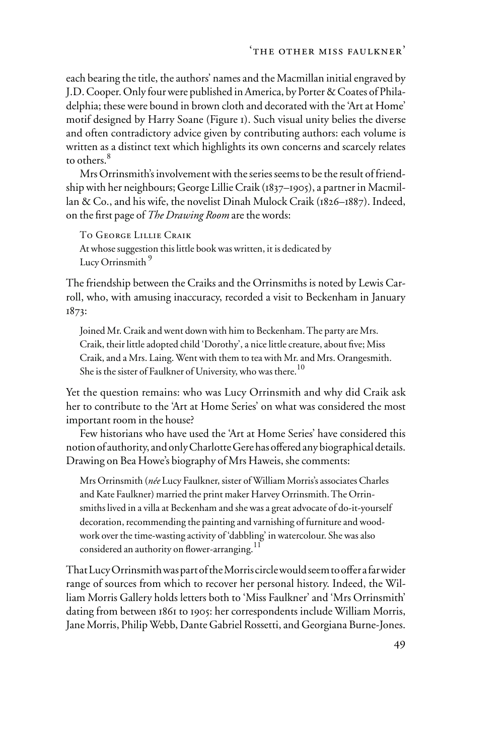each bearing the title, the authors' names and the Macmillan initial engraved by J.D. Cooper. Only four were published in America, by Porter & Coates of Philadelphia; these were bound in brown cloth and decorated with the 'Art at Home' motif designed by Harry Soane (Figure 1). Such visual unity belies the diverse and often contradictory advice given by contributing authors: each volume is written as a distinct text which highlights its own concerns and scarcely relates to others.<sup>8</sup>

Mrs Orrinsmith's involvement with the series seems to be the result of friendship with her neighbours; George Lillie Craik (1837–1905), a partner in Macmillan & Co., and his wife, the novelist Dinah Mulock Craik (1826–1887). Indeed, on the first page of *The Drawing Room* are the words:

To George Lillie Craik At whose suggestion this little book was written, it is dedicated by Lucy Orrinsmith<sup>9</sup>

The friendship between the Craiks and the Orrinsmiths is noted by Lewis Carroll, who, with amusing inaccuracy, recorded a visit to Beckenham in January 1873:

Joined Mr. Craik and went down with him to Beckenham. The party are Mrs. Craik, their little adopted child 'Dorothy', a nice little creature, about five; Miss Craik, and a Mrs. Laing. Went with them to tea with Mr. and Mrs. Orangesmith. She is the sister of Faulkner of University, who was there.<sup>10</sup>

Yet the question remains: who was Lucy Orrinsmith and why did Craik ask her to contribute to the 'Art at Home Series' on what was considered the most important room in the house?

Few historians who have used the 'Art at Home Series' have considered this notion of authority, and only Charlotte Gere has offered any biographical details. Drawing on Bea Howe's biography of Mrs Haweis, she comments:

Mrs Orrinsmith (*née* Lucy Faulkner, sister of William Morris's associates Charles and Kate Faulkner) married the print maker Harvey Orrinsmith. The Orrinsmiths lived in a villa at Beckenham and she was a great advocate of do-it-yourself decoration, recommending the painting and varnishing of furniture and woodwork over the time-wasting activity of 'dabbling' in watercolour. She was also considered an authority on flower-arranging.<sup>11</sup>

That Lucy Orrinsmith was part of the Morris circle would seem to offer a far wider range of sources from which to recover her personal history. Indeed, the William Morris Gallery holds letters both to 'Miss Faulkner' and 'Mrs Orrinsmith' dating from between 1861 to 1905: her correspondents include William Morris, Jane Morris, Philip Webb, Dante Gabriel Rossetti, and Georgiana Burne-Jones.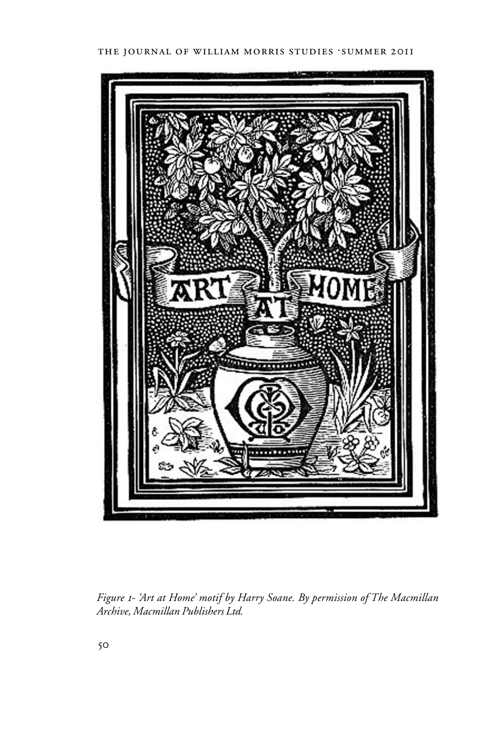

*Figure 1- 'Art at Home' motif by Harry Soane. By permission of The Macmillan Archive, Macmillan Publishers Ltd.*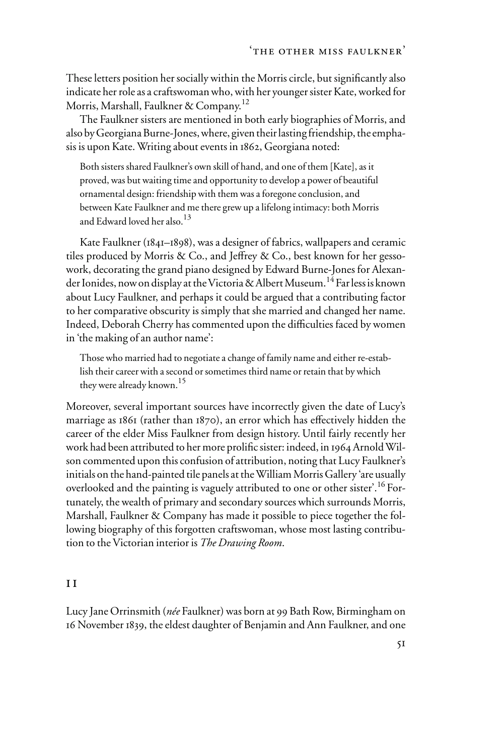These letters position her socially within the Morris circle, but significantly also indicate her role as a craftswoman who, with her younger sister Kate, worked for Morris, Marshall, Faulkner & Company.<sup>12</sup>

The Faulkner sisters are mentioned in both early biographies of Morris, and also by Georgiana Burne-Jones, where, given their lasting friendship, the emphasis is upon Kate. Writing about events in 1862, Georgiana noted:

Both sisters shared Faulkner's own skill of hand, and one of them [Kate], as it proved, was but waiting time and opportunity to develop a power of beautiful ornamental design: friendship with them was a foregone conclusion, and between Kate Faulkner and me there grew up a lifelong intimacy: both Morris and Edward loved her also.<sup>13</sup>

Kate Faulkner (1841–1898), was a designer of fabrics, wallpapers and ceramic tiles produced by Morris & Co., and Jeffrey & Co., best known for her gessowork, decorating the grand piano designed by Edward Burne-Jones for Alexander Ionides, now on display at the Victoria & Albert Museum.14 Far less is known about Lucy Faulkner, and perhaps it could be argued that a contributing factor to her comparative obscurity is simply that she married and changed her name. Indeed, Deborah Cherry has commented upon the difficulties faced by women in 'the making of an author name':

Those who married had to negotiate a change of family name and either re-establish their career with a second or sometimes third name or retain that by which they were already known.<sup>15</sup>

Moreover, several important sources have incorrectly given the date of Lucy's marriage as  $1861$  (rather than  $1870$ ), an error which has effectively hidden the career of the elder Miss Faulkner from design history. Until fairly recently her work had been attributed to her more prolific sister: indeed, in 1964 Arnold Wilson commented upon this confusion of attribution, noting that Lucy Faulkner's initials on the hand-painted tile panels at the William Morris Gallery 'are usually overlooked and the painting is vaguely attributed to one or other sister'.<sup>16</sup> Fortunately, the wealth of primary and secondary sources which surrounds Morris, Marshall, Faulkner & Company has made it possible to piece together the following biography of this forgotten craftswoman, whose most lasting contribution to the Victorian interior is *The Drawing Room*.

#### i i

Lucy Jane Orrinsmith (*née* Faulkner) was born at 99 Bath Row, Birmingham on 16 November 1839, the eldest daughter of Benjamin and Ann Faulkner, and one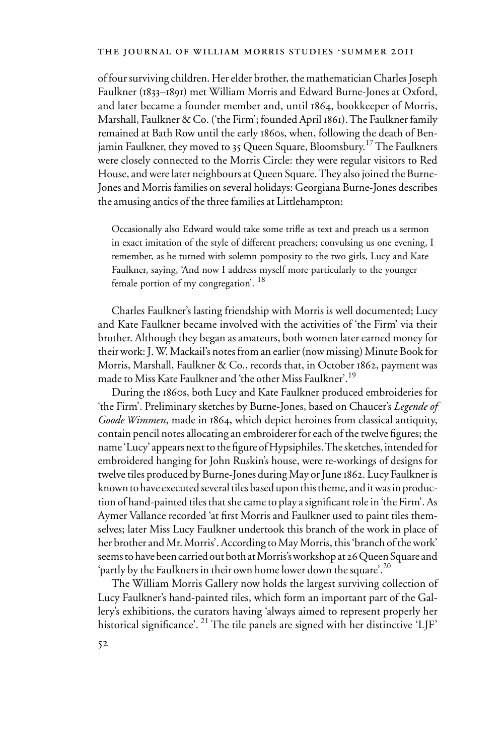of four surviving children. Her elder brother, the mathematician Charles Joseph Faulkner (1833–1891) met William Morris and Edward Burne-Jones at Oxford, and later became a founder member and, until 1864, bookkeeper of Morris, Marshall, Faulkner & Co. ('the Firm'; founded April 1861). The Faulkner family remained at Bath Row until the early 1860s, when, following the death of Benjamin Faulkner, they moved to 35 Queen Square, Bloomsbury.<sup>17</sup> The Faulkners were closely connected to the Morris Circle: they were regular visitors to Red House, and were later neighbours at Queen Square. They also joined the Burne-Jones and Morris families on several holidays: Georgiana Burne-Jones describes the amusing antics of the three families at Littlehampton:

Occasionally also Edward would take some trifle as text and preach us a sermon in exact imitation of the style of different preachers; convulsing us one evening, I remember, as he turned with solemn pomposity to the two girls, Lucy and Kate Faulkner, saying, 'And now I address myself more particularly to the younger female portion of my congregation'. <sup>18</sup>

Charles Faulkner's lasting friendship with Morris is well documented; Lucy and Kate Faulkner became involved with the activities of 'the Firm' via their brother. Although they began as amateurs, both women later earned money for their work: J. W. Mackail's notes from an earlier (now missing) Minute Book for Morris, Marshall, Faulkner & Co., records that, in October 1862, payment was made to Miss Kate Faulkner and 'the other Miss Faulkner'.<sup>19</sup>

During the 1860s, both Lucy and Kate Faulkner produced embroideries for 'the Firm'. Preliminary sketches by Burne-Jones, based on Chaucer's *Legende of Goode Wimmen*, made in 1864, which depict heroines from classical antiquity, contain pencil notes allocating an embroiderer for each of the twelve figures; the name 'Lucy' appears next to the figure of Hypsiphiles. The sketches, intended for embroidered hanging for John Ruskin's house, were re-workings of designs for twelve tiles produced by Burne-Jones during May or June 1862. Lucy Faulkner is known to have executed several tiles based upon this theme, and it was in production of hand-painted tiles that she came to play a significant role in 'the Firm'. As Aymer Vallance recorded 'at first Morris and Faulkner used to paint tiles themselves; later Miss Lucy Faulkner undertook this branch of the work in place of her brother and Mr. Morris'. According to May Morris, this 'branch of the work' seems to have been carried out both at Morris's workshop at 26 Queen Square and 'partly by the Faulkners in their own home lower down the square'.<sup>20</sup>

The William Morris Gallery now holds the largest surviving collection of Lucy Faulkner's hand-painted tiles, which form an important part of the Gallery's exhibitions, the curators having 'always aimed to represent properly her historical significance'. <sup>21</sup> The tile panels are signed with her distinctive 'LJF'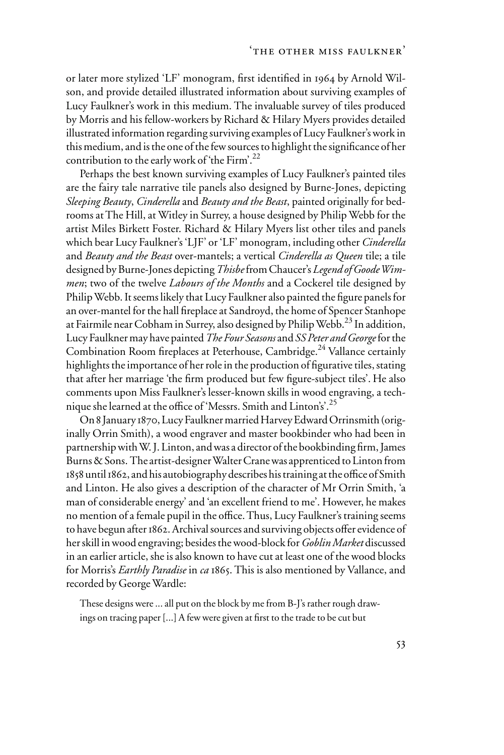or later more stylized 'LF' monogram, first identified in 1964 by Arnold Wilson, and provide detailed illustrated information about surviving examples of Lucy Faulkner's work in this medium. The invaluable survey of tiles produced by Morris and his fellow-workers by Richard & Hilary Myers provides detailed illustrated information regarding surviving examples of Lucy Faulkner's work in this medium, and is the one of the few sources to highlight the significance of her contribution to the early work of 'the Firm'.<sup>22</sup>

Perhaps the best known surviving examples of Lucy Faulkner's painted tiles are the fairy tale narrative tile panels also designed by Burne-Jones, depicting *Sleeping Beauty*, *Cinderella* and *Beauty and the Beast*, painted originally for bedrooms at The Hill, at Witley in Surrey, a house designed by Philip Webb for the artist Miles Birkett Foster. Richard & Hilary Myers list other tiles and panels which bear Lucy Faulkner's 'LJF' or 'LF' monogram, including other *Cinderella* and *Beauty and the Beast* over-mantels; a vertical *Cinderella as Queen* tile; a tile designed by Burne-Jones depicting *Thisbe* from Chaucer's *Legend of Goode Wimmen*; two of the twelve *Labours of the Months* and a Cockerel tile designed by Philip Webb. It seems likely that Lucy Faulkner also painted the figure panels for an over-mantel for the hall fireplace at Sandroyd, the home of Spencer Stanhope at Fairmile near Cobham in Surrey, also designed by Philip Webb.<sup>23</sup> In addition, Lucy Faulkner may have painted *The Four Seasons* and *SS Peter and George* for the Combination Room fireplaces at Peterhouse, Cambridge.<sup>24</sup> Vallance certainly highlights the importance of her role in the production of figurative tiles, stating that after her marriage 'the firm produced but few figure-subject tiles'. He also comments upon Miss Faulkner's lesser-known skills in wood engraving, a technique she learned at the office of 'Messrs. Smith and Linton's'.<sup>25</sup>

On 8 January 1870, Lucy Faulkner married Harvey Edward Orrinsmith (originally Orrin Smith), a wood engraver and master bookbinder who had been in partnership with W.J. Linton, and was a director of the bookbinding firm, James Burns & Sons. The artist-designer Walter Crane was apprenticed to Linton from 1858 until 1862, and his autobiography describes his training at the office of Smith and Linton. He also gives a description of the character of Mr Orrin Smith, 'a man of considerable energy' and 'an excellent friend to me'. However, he makes no mention of a female pupil in the office. Thus, Lucy Faulkner's training seems to have begun after 1862. Archival sources and surviving objects offer evidence of her skill in wood engraving; besides the wood-block for *Goblin Market* discussed in an earlier article, she is also known to have cut at least one of the wood blocks for Morris's *Earthly Paradise* in *ca* 1865. This is also mentioned by Vallance, and recorded by George Wardle:

These designs were ... all put on the block by me from B-J's rather rough drawings on tracing paper [...] A few were given at first to the trade to be cut but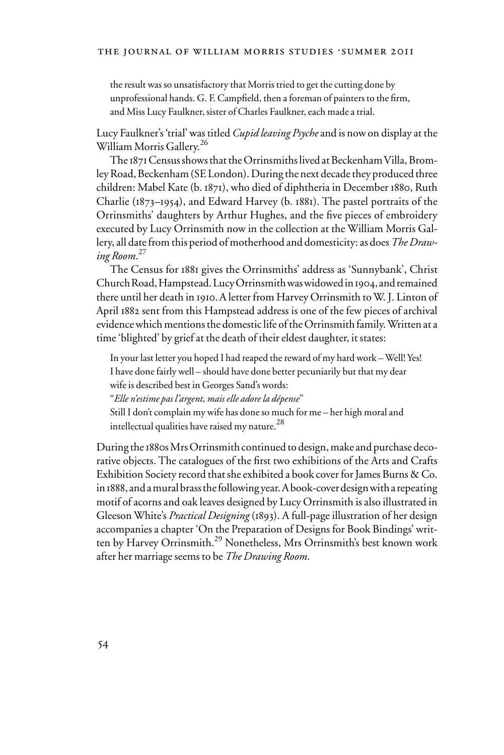the result was so unsatisfactory that Morris tried to get the cutting done by unprofessional hands. G. F. Campfield, then a foreman of painters to the firm, and Miss Lucy Faulkner, sister of Charles Faulkner, each made a trial.

Lucy Faulkner's 'trial' was titled *Cupid leaving Psyche* and is now on display at the William Morris Gallery.<sup>26</sup>

The 1871 Census shows that the Orrinsmiths lived at Beckenham Villa, Bromley Road, Beckenham (SE London). During the next decade they produced three children: Mabel Kate (b. 1871), who died of diphtheria in December 1880, Ruth Charlie (1873–1954), and Edward Harvey (b. 1881). The pastel portraits of the Orrinsmiths' daughters by Arthur Hughes, and the five pieces of embroidery executed by Lucy Orrinsmith now in the collection at the William Morris Gallery, all date from this period of motherhood and domesticity: as does *The Drawing Room*. 27

The Census for 1881 gives the Orrinsmiths' address as 'Sunnybank', Christ Church Road, Hampstead. Lucy Orrinsmith was widowed in 1904, and remained there until her death in 1910.A letter from Harvey Orrinsmith to W. J. Linton of April 1882 sent from this Hampstead address is one of the few pieces of archival evidence which mentions the domestic life of the Orrinsmith family. Written at a time 'blighted' by grief at the death of their eldest daughter, it states:

In your last letter you hoped I had reaped the reward of my hard work – Well! Yes! I have done fairly well – should have done better pecuniarily but that my dear wife is described best in Georges Sand's words:

"*Elle n'estime pas l'argent, mais elle adore la dépense*"

Still I don't complain my wife has done so much for me – her high moral and intellectual qualities have raised my nature.<sup>28</sup>

During the 1880s Mrs Orrinsmith continued to design, make and purchase decorative objects. The catalogues of the first two exhibitions of the Arts and Crafts Exhibition Society record that she exhibited a book cover for James Burns & Co. in 1888, and a mural brass the following year. A book-cover design with a repeating motif of acorns and oak leaves designed by Lucy Orrinsmith is also illustrated in Gleeson White's *Practical Designing* (1893). A full-page illustration of her design accompanies a chapter 'On the Preparation of Designs for Book Bindings' written by Harvey Orrinsmith.<sup>29</sup> Nonetheless, Mrs Orrinsmith's best known work after her marriage seems to be *The Drawing Room*.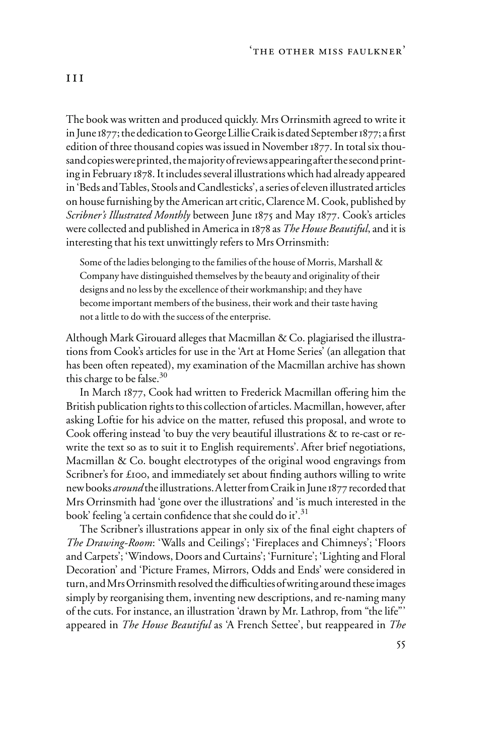The book was written and produced quickly. Mrs Orrinsmith agreed to write it in June  $1877$ ; the dedication to George Lillie Craik is dated September  $1877$ ; a first edition of three thousand copies was issued in November 1877. In total six thousand copies were printed, the majority of reviews appearing after the second printing in February 1878. It includes several illustrations which had already appeared in 'Beds and Tables, Stools and Candlesticks', a series of eleven illustrated articles on house furnishing by the American art critic, Clarence M. Cook, published by *Scribner's Illustrated Monthly* between June 1875 and May 1877. Cook's articles were collected and published in America in 1878 as *The House Beautiful*, and it is interesting that his text unwittingly refers to Mrs Orrinsmith:

Some of the ladies belonging to the families of the house of Morris, Marshall & Company have distinguished themselves by the beauty and originality of their designs and no less by the excellence of their workmanship; and they have become important members of the business, their work and their taste having not a little to do with the success of the enterprise.

Although Mark Girouard alleges that Macmillan & Co. plagiarised the illustrations from Cook's articles for use in the 'Art at Home Series' (an allegation that has been often repeated), my examination of the Macmillan archive has shown this charge to be false. $30$ 

In March 1877, Cook had written to Frederick Macmillan offering him the British publication rights to this collection of articles. Macmillan, however, after asking Loftie for his advice on the matter, refused this proposal, and wrote to Cook offering instead 'to buy the very beautiful illustrations  $\&$  to re-cast or rewrite the text so as to suit it to English requirements'. After brief negotiations, Macmillan & Co. bought electrotypes of the original wood engravings from Scribner's for £100, and immediately set about finding authors willing to write new books *around* the illustrations.A letter from Craik in June 1877 recorded that Mrs Orrinsmith had 'gone over the illustrations' and 'is much interested in the book' feeling 'a certain confidence that she could do it'.<sup>31</sup>

The Scribner's illustrations appear in only six of the final eight chapters of *The Drawing-Room*: 'Walls and Ceilings'; 'Fireplaces and Chimneys'; 'Floors and Carpets'; 'Windows, Doors and Curtains'; 'Furniture'; 'Lighting and Floral Decoration' and 'Picture Frames, Mirrors, Odds and Ends' were considered in turn, and Mrs Orrinsmith resolved the difficulties of writing around these images simply by reorganising them, inventing new descriptions, and re-naming many of the cuts. For instance, an illustration 'drawn by Mr. Lathrop, from "the life"' appeared in *The House Beautiful* as 'A French Settee', but reappeared in *The*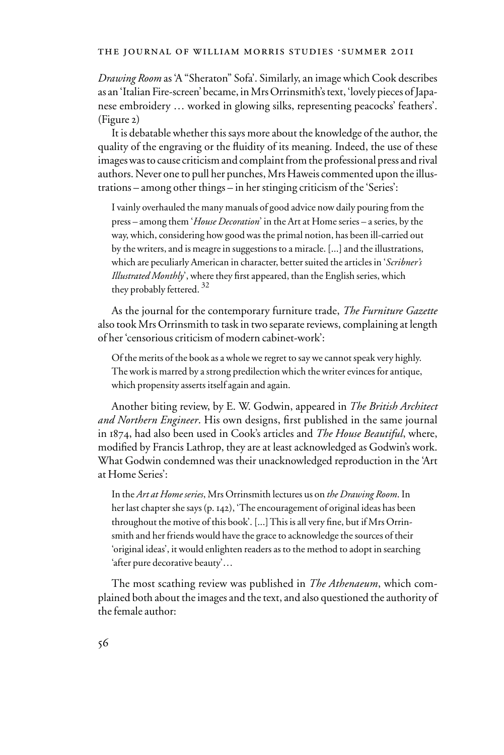*Drawing Room* as 'A "Sheraton" Sofa'. Similarly, an image which Cook describes as an 'Italian Fire-screen' became, in Mrs Orrinsmith's text, 'lovely pieces of Japanese embroidery … worked in glowing silks, representing peacocks' feathers'. (Figure 2)

It is debatable whether this says more about the knowledge of the author, the quality of the engraving or the fluidity of its meaning. Indeed, the use of these images was to cause criticism and complaint from the professional press and rival authors. Never one to pull her punches, Mrs Haweis commented upon the illustrations – among other things – in her stinging criticism of the 'Series':

I vainly overhauled the many manuals of good advice now daily pouring from the press – among them '*House Decoration*' in the Art at Home series – a series, by the way, which, considering how good was the primal notion, has been ill-carried out by the writers, and is meagre in suggestions to a miracle. [...] and the illustrations, which are peculiarly American in character, better suited the articles in '*Scribner's Illustrated Monthly*', where they Wrst appeared, than the English series, which they probably fettered.<sup>32</sup>

As the journal for the contemporary furniture trade, *The Furniture Gazette* also took Mrs Orrinsmith to task in two separate reviews, complaining at length of her 'censorious criticism of modern cabinet-work':

Of the merits of the book as a whole we regret to say we cannot speak very highly. The work is marred by a strong predilection which the writer evinces for antique, which propensity asserts itself again and again.

Another biting review, by E. W. Godwin, appeared in *The British Architect*  and Northern Engineer. His own designs, first published in the same journal in 1874, had also been used in Cook's articles and *The House Beautiful*, where, modified by Francis Lathrop, they are at least acknowledged as Godwin's work. What Godwin condemned was their unacknowledged reproduction in the 'Art at Home Series':

In the *Art at Home series*, Mrs Orrinsmith lectures us on *the Drawing Room*. In her last chapter she says (p. 142), 'The encouragement of original ideas has been throughout the motive of this book'. [...] This is all very fine, but if Mrs Orrinsmith and her friends would have the grace to acknowledge the sources of their 'original ideas', it would enlighten readers as to the method to adopt in searching 'after pure decorative beauty'…

The most scathing review was published in *The Athenaeum*, which complained both about the images and the text, and also questioned the authority of the female author: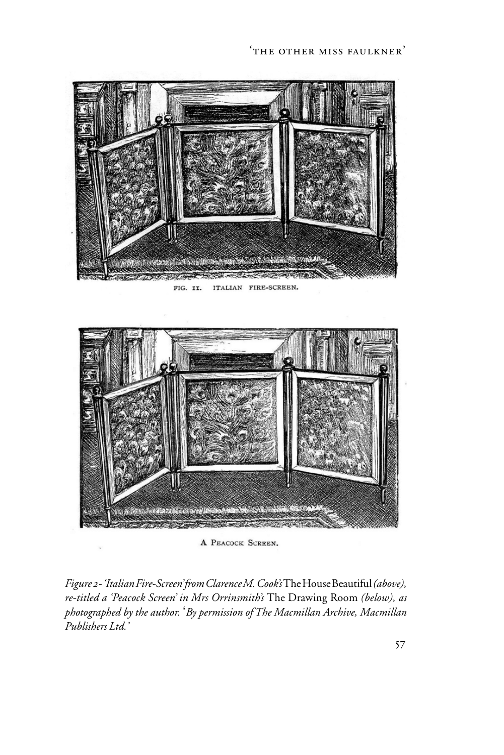

ITALIAN FIRE-SCREEN. FIG. II.



A PEACOCK SCREEN.

*Figure 2 - 'Italian Fire-Screen' from Clarence M. Cook's* The House Beautiful *(above), re-titled a 'Peacock Screen' in Mrs Orrinsmith's* The Drawing Room *(below), as photographed by the author.* '*By permission of The Macmillan Archive, Macmillan Publishers Ltd.'*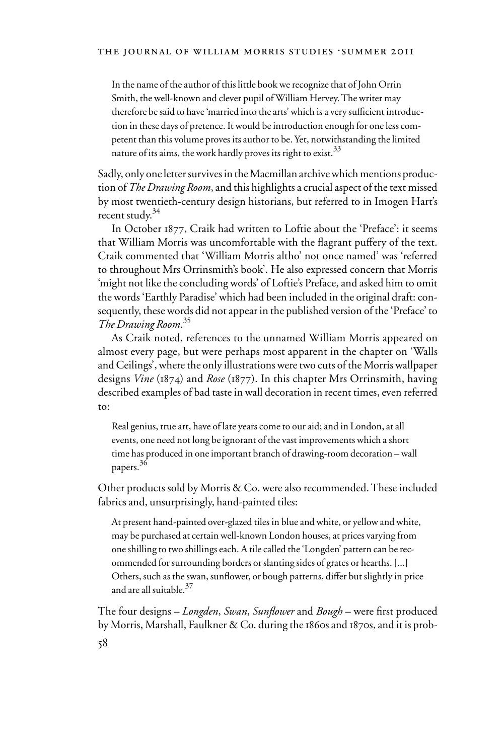In the name of the author of this little book we recognize that of John Orrin Smith, the well-known and clever pupil of William Hervey. The writer may therefore be said to have 'married into the arts' which is a very sufficient introduction in these days of pretence. It would be introduction enough for one less competent than this volume proves its author to be. Yet, notwithstanding the limited nature of its aims, the work hardly proves its right to exist.  $33$ 

Sadly, only one letter survives in the Macmillan archive which mentions production of *The Drawing Room*, and this highlights a crucial aspect of the text missed by most twentieth-century design historians, but referred to in Imogen Hart's recent study.<sup>34</sup>

In October 1877, Craik had written to Loftie about the 'Preface': it seems that William Morris was uncomfortable with the flagrant puffery of the text. Craik commented that 'William Morris altho' not once named' was 'referred to throughout Mrs Orrinsmith's book'. He also expressed concern that Morris 'might not like the concluding words' of Loftie's Preface, and asked him to omit the words 'Earthly Paradise' which had been included in the original draft: consequently, these words did not appear in the published version of the 'Preface' to *The Drawing Room*. 35

As Craik noted, references to the unnamed William Morris appeared on almost every page, but were perhaps most apparent in the chapter on 'Walls and Ceilings', where the only illustrations were two cuts of the Morris wallpaper designs *Vine* (1874) and *Rose* (1877). In this chapter Mrs Orrinsmith, having described examples of bad taste in wall decoration in recent times, even referred to:

Real genius, true art, have of late years come to our aid; and in London, at all events, one need not long be ignorant of the vast improvements which a short time has produced in one important branch of drawing-room decoration – wall papers. 36

Other products sold by Morris & Co. were also recommended. These included fabrics and, unsurprisingly, hand-painted tiles:

At present hand-painted over-glazed tiles in blue and white, or yellow and white, may be purchased at certain well-known London houses, at prices varying from one shilling to two shillings each. A tile called the 'Longden' pattern can be recommended for surrounding borders or slanting sides of grates or hearths. [...] Others, such as the swan, sunflower, or bough patterns, differ but slightly in price and are all suitable.<sup>37</sup>

The four designs – *Longden*, *Swan*, *Sunflower* and *Bough* – were first produced by Morris, Marshall, Faulkner & Co. during the 1860s and 1870s, and it is prob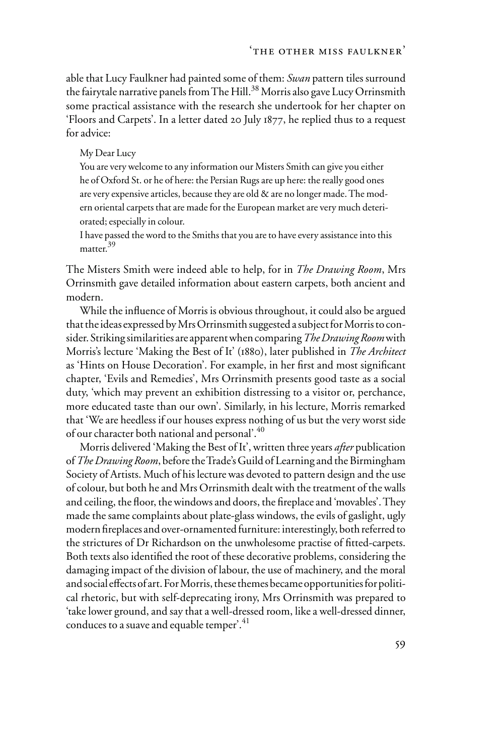able that Lucy Faulkner had painted some of them: *Swan* pattern tiles surround the fairytale narrative panels from The Hill.<sup>38</sup> Morris also gave Lucy Orrinsmith some practical assistance with the research she undertook for her chapter on 'Floors and Carpets'. In a letter dated 20 July 1877, he replied thus to a request for advice:

#### My Dear Lucy

You are very welcome to any information our Misters Smith can give you either he of Oxford St. or he of here: the Persian Rugs are up here: the really good ones are very expensive articles, because they are old & are no longer made. The modern oriental carpets that are made for the European market are very much deteriorated; especially in colour.

I have passed the word to the Smiths that you are to have every assistance into this matter.<sup>39</sup>

The Misters Smith were indeed able to help, for in *The Drawing Room*, Mrs Orrinsmith gave detailed information about eastern carpets, both ancient and modern.

While the influence of Morris is obvious throughout, it could also be argued that the ideas expressed by Mrs Orrinsmith suggested a subject for Morris to consider. Striking similarities are apparent when comparing *The Drawing Room* with Morris's lecture 'Making the Best of It' (1880), later published in *The Architect* as 'Hints on House Decoration'. For example, in her first and most significant chapter, 'Evils and Remedies', Mrs Orrinsmith presents good taste as a social duty, 'which may prevent an exhibition distressing to a visitor or, perchance, more educated taste than our own'. Similarly, in his lecture, Morris remarked that 'We are heedless if our houses express nothing of us but the very worst side of our character both national and personal'.40

Morris delivered 'Making the Best of It', written three years *after* publication of *The Drawing Room*, before the Trade's Guild of Learning and the Birmingham Society of Artists. Much of his lecture was devoted to pattern design and the use of colour, but both he and Mrs Orrinsmith dealt with the treatment of the walls and ceiling, the floor, the windows and doors, the fireplace and 'movables'. They made the same complaints about plate-glass windows, the evils of gaslight, ugly modern fireplaces and over-ornamented furniture: interestingly, both referred to the strictures of Dr Richardson on the unwholesome practise of fitted-carpets. Both texts also identified the root of these decorative problems, considering the damaging impact of the division of labour, the use of machinery, and the moral and social effects of art. For Morris, these themes became opportunities for political rhetoric, but with self-deprecating irony, Mrs Orrinsmith was prepared to 'take lower ground, and say that a well-dressed room, like a well-dressed dinner, conduces to a suave and equable temper<sup>'.41</sup>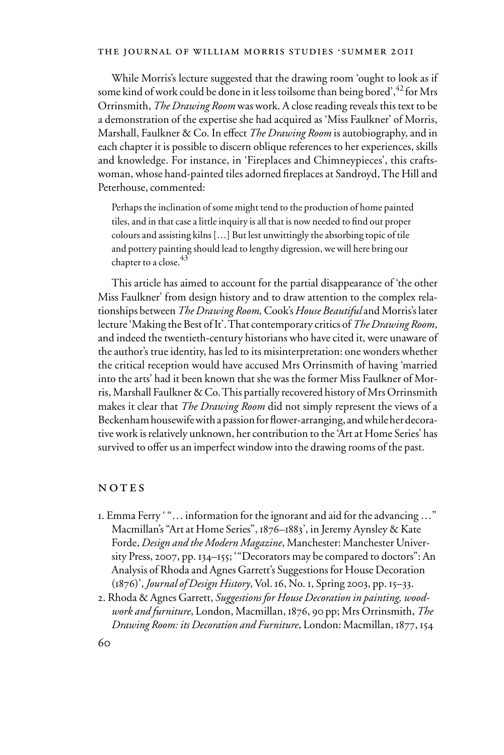While Morris's lecture suggested that the drawing room 'ought to look as if some kind of work could be done in it less toilsome than being bored', 42 for Mrs Orrinsmith, *The Drawing Room* was work. A close reading reveals this text to be a demonstration of the expertise she had acquired as 'Miss Faulkner' of Morris, Marshall, Faulkner & Co. In effect *The Drawing Room* is autobiography, and in each chapter it is possible to discern oblique references to her experiences, skills and knowledge. For instance, in 'Fireplaces and Chimneypieces', this craftswoman, whose hand-painted tiles adorned fireplaces at Sandroyd, The Hill and Peterhouse, commented:

Perhaps the inclination of some might tend to the production of home painted tiles, and in that case a little inquiry is all that is now needed to find out proper colours and assisting kilns […] But lest unwittingly the absorbing topic of tile and pottery painting should lead to lengthy digression, we will here bring our chapter to a close.<sup>43</sup>

This article has aimed to account for the partial disappearance of 'the other Miss Faulkner' from design history and to draw attention to the complex relationships between *The Drawing Room,* Cook's *House Beautiful* and Morris's later lecture 'Making the Best of It'. That contemporary critics of *The Drawing Room*, and indeed the twentieth-century historians who have cited it, were unaware of the author's true identity, has led to its misinterpretation: one wonders whether the critical reception would have accused Mrs Orrinsmith of having 'married into the arts' had it been known that she was the former Miss Faulkner of Morris, Marshall Faulkner & Co. This partially recovered history of Mrs Orrinsmith makes it clear that *The Drawing Room* did not simply represent the views of a Beckenham housewife with a passion for flower-arranging, and while her decorative work is relatively unknown, her contribution to the 'Art at Home Series' has survived to offer us an imperfect window into the drawing rooms of the past.

#### NOTES

- 1. Emma Ferry ' "… information for the ignorant and aid for the advancing …" Macmillan's "Art at Home Series", 1876–1883', in Jeremy Aynsley & Kate Forde, *Design and the Modern Magazine*, Manchester: Manchester University Press, 2007, pp. 134–155; '"Decorators may be compared to doctors": An Analysis of Rhoda and Agnes Garrett's Suggestions for House Decoration (1876)', *Journal of Design History*, Vol. 16, No. 1, Spring 2003, pp. 15–33.
- 2. Rhoda & Agnes Garrett, *Suggestions for House Decoration in painting, woodwork and furniture*, London, Macmillan, 1876, 90 pp; Mrs Orrinsmith, *The Drawing Room: its Decoration and Furniture*, London: Macmillan, 1877, 154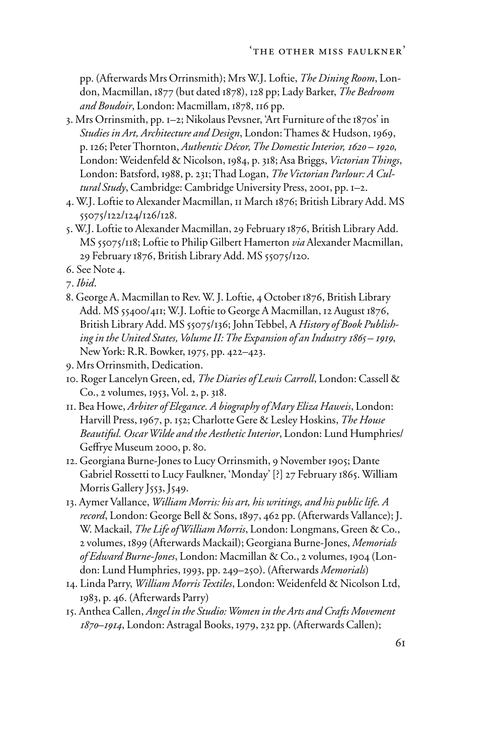pp. (Afterwards Mrs Orrinsmith); Mrs W.J. Loftie, *The Dining Room*, London, Macmillan, 1877 (but dated 1878), 128 pp; Lady Barker, *The Bedroom and Boudoir*, London: Macmillam, 1878, 116 pp.

- 3. Mrs Orrinsmith, pp. 1–2; Nikolaus Pevsner, 'Art Furniture of the 1870s' in *Studies in Art, Architecture and Design*, London: Thames & Hudson, 1969, p. 126; Peter Thornton, *Authentic Décor, The Domestic Interior, 1620 – 1920*, London: Weidenfeld & Nicolson, 1984, p. 318; Asa Briggs, *Victorian Things*, London: Batsford, 1988, p. 231; Thad Logan, *The Victorian Parlour: A Cultural Study*, Cambridge: Cambridge University Press, 2001, pp. 1–2.
- 4. W.J. Loftie to Alexander Macmillan, 11 March 1876; British Library Add. MS 55075/122/124/126/128.
- 5. W.J. Loftie to Alexander Macmillan, 29 February 1876, British Library Add. MS 55075/118; Loftie to Philip Gilbert Hamerton *via* Alexander Macmillan, 29 February 1876, British Library Add. MS 55075/120.
- 6. See Note 4.
- 7. *Ibid*.
- 8. George A. Macmillan to Rev. W. J. Loftie, 4 October 1876, British Library Add. MS 55400/411; W.J. Loftie to George A Macmillan, 12 August 1876, British Library Add. MS 55075/136; John Tebbel, A *History of Book Publishing in the United States, Volume II: The Expansion of an Industry 1865 – 1919*, New York: R.R. Bowker, 1975, pp. 422–423.
- 9. Mrs Orrinsmith, Dedication.
- 10. Roger Lancelyn Green, ed, *The Diaries of Lewis Carroll*, London: Cassell & Co., 2 volumes, 1953, Vol. 2, p. 318.
- 11. Bea Howe, *Arbiter of Elegance. A biography of Mary Eliza Haweis*, London: Harvill Press, 1967, p. 152; Charlotte Gere & Lesley Hoskins, *The House Beautiful. Oscar Wilde and the Aesthetic Interior*, London: Lund Humphries/ Geffrye Museum 2000, p. 80.
- 12. Georgiana Burne-Jones to Lucy Orrinsmith, 9 November 1905; Dante Gabriel Rossetti to Lucy Faulkner, 'Monday' [?] 27 February 1865. William Morris Gallery J553, J549.
- 13. Aymer Vallance, *William Morris: his art, his writings, and his public life. A record*, London: George Bell & Sons, 1897, 462 pp. (Afterwards Vallance); J. W. Mackail, *The Life of William Morris*, London: Longmans, Green & Co., 2 volumes, 1899 (Afterwards Mackail); Georgiana Burne-Jones, *Memorials of Edward Burne-Jones*, London: Macmillan & Co., 2 volumes, 1904 (London: Lund Humphries, 1993, pp. 249–250). (Afterwards *Memorials*)
- 14. Linda Parry, *William Morris Textiles*, London: Weidenfeld & Nicolson Ltd, 1983, p. 46. (Afterwards Parry)
- 15. Anthea Callen, *Angel in the Studio: Women in the Arts and Crafts Movement 1870–1914*, London: Astragal Books, 1979, 232 pp. (Afterwards Callen);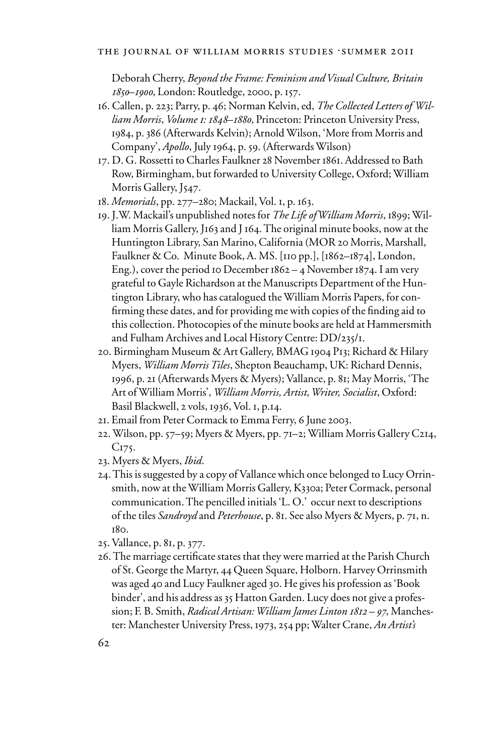Deborah Cherry, *Beyond the Frame: Feminism and Visual Culture, Britain 1850–1900*, London: Routledge, 2000, p. 157.

- 16. Callen, p. 223; Parry, p. 46; Norman Kelvin, ed, *The Collected Letters of William Morris*, *Volume 1: 1848–1880*, Princeton: Princeton University Press, 1984, p. 386 (Afterwards Kelvin); Arnold Wilson, 'More from Morris and Company', *Apollo*, July 1964, p. 59. (Afterwards Wilson)
- 17. D. G. Rossetti to Charles Faulkner 28 November 1861. Addressed to Bath Row, Birmingham, but forwarded to University College, Oxford; William Morris Gallery, J547.
- 18. *Memorials*, pp. 277–280; Mackail, Vol. 1, p. 163.
- 19. J.W. Mackail's unpublished notes for *The Life of William Morris*, 1899; William Morris Gallery, J163 and J 164. The original minute books, now at the Huntington Library, San Marino, California (MOR 20 Morris, Marshall, Faulkner & Co. Minute Book, A. MS. [110 pp.], [1862–1874], London, Eng.), cover the period 10 December  $1862 - 4$  November 1874. I am very grateful to Gayle Richardson at the Manuscripts Department of the Huntington Library, who has catalogued the William Morris Papers, for confirming these dates, and for providing me with copies of the finding aid to this collection. Photocopies of the minute books are held at Hammersmith and Fulham Archives and Local History Centre: DD/235/1.
- 20. Birmingham Museum & Art Gallery, BMAG 1904 P13; Richard & Hilary Myers, *William Morris Tiles*, Shepton Beauchamp, UK: Richard Dennis, 1996, p. 21 (Afterwards Myers & Myers); Vallance, p. 81; May Morris, 'The Art of William Morris', *William Morris, Artist, Writer, Socialist*, Oxford: Basil Blackwell, 2 vols, 1936, Vol. 1, p.14.
- 21. Email from Peter Cormack to Emma Ferry, 6 June 2003.
- 22. Wilson, pp. 57–59; Myers & Myers, pp. 71–2; William Morris Gallery C214, C<sub>175</sub>.
- 23. Myers & Myers, *Ibid*.
- 24. This is suggested by a copy of Vallance which once belonged to Lucy Orrinsmith, now at the William Morris Gallery, K330a; Peter Cormack, personal communication. The pencilled initials 'L. O.' occur next to descriptions of the tiles *Sandroyd* and *Peterhouse*, p. 81. See also Myers & Myers, p. 71, n. 180.
- 25. Vallance, p. 81, p. 377.
- 26. The marriage certificate states that they were married at the Parish Church of St. George the Martyr, 44 Queen Square, Holborn. Harvey Orrinsmith was aged 40 and Lucy Faulkner aged 30. He gives his profession as 'Book binder', and his address as 35 Hatton Garden. Lucy does not give a profession; F. B. Smith, *Radical Artisan: William James Linton 1812 – 97*, Manchester: Manchester University Press, 1973, 254 pp; Walter Crane, *An Artist's*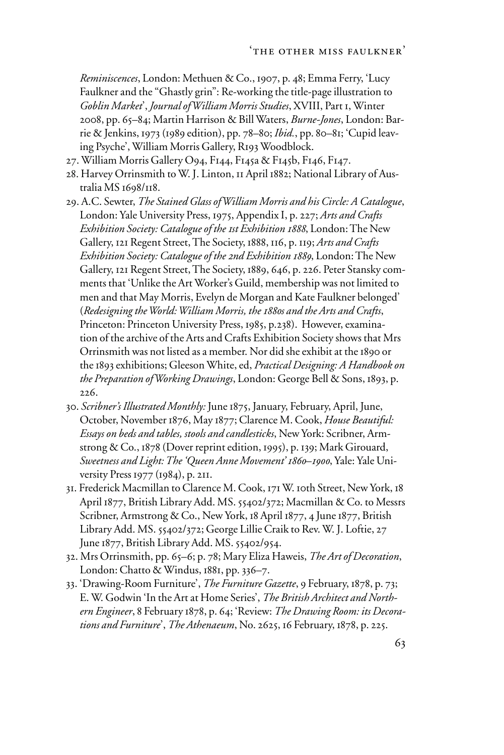*Reminiscences*, London: Methuen & Co., 1907, p. 48; Emma Ferry, 'Lucy Faulkner and the "Ghastly grin": Re-working the title-page illustration to *Goblin Market*', *Journal of William Morris Studies*, XVIII, Part 1, Winter 2008, pp. 65–84; Martin Harrison & Bill Waters, *Burne-Jones*, London: Barrie & Jenkins, 1973 (1989 edition), pp. 78–80; *Ibid.*, pp. 80–81; 'Cupid leaving Psyche', William Morris Gallery, R193 Woodblock.

- 27. William Morris Gallery O94, F144, F145a & F145b, F146, F147.
- 28. Harvey Orrinsmith to W. J. Linton, 11 April 1882; National Library of Australia MS 1698/118.
- 29. A.C. Sewter, *The Stained Glass of William Morris and his Circle: A Catalogue*, London: Yale University Press, 1975, Appendix I, p. 227; *Arts and Crafts Exhibition Society: Catalogue of the 1st Exhibition 1888*, London: The New Gallery, 121 Regent Street, The Society, 1888, 116, p. 119; *Arts and Crafts Exhibition Society: Catalogue of the 2nd Exhibition 1889*, London: The New Gallery, 121 Regent Street, The Society, 1889, 646, p. 226. Peter Stansky comments that 'Unlike the Art Worker's Guild, membership was not limited to men and that May Morris, Evelyn de Morgan and Kate Faulkner belonged' (*Redesigning the World: William Morris, the 1880s and the Arts and Crafts*, Princeton: Princeton University Press, 1985, p.238). However, examination of the archive of the Arts and Crafts Exhibition Society shows that Mrs Orrinsmith was not listed as a member. Nor did she exhibit at the 1890 or the 1893 exhibitions; Gleeson White, ed, *Practical Designing: A Handbook on the Preparation of Working Drawings*, London: George Bell & Sons, 1893, p. 226.
- 30. *Scribner's Illustrated Monthly:* June 1875, January, February, April, June, October, November 1876, May 1877; Clarence M. Cook, *House Beautiful: Essays on beds and tables, stools and candlesticks*, New York: Scribner, Armstrong & Co., 1878 (Dover reprint edition, 1995), p. 139; Mark Girouard, *Sweetness and Light: The 'Queen Anne Movement' 1860–1900*, Yale: Yale University Press 1977 (1984), p. 211.
- 31. Frederick Macmillan to Clarence M. Cook, 171 W. 10th Street, New York, 18 April 1877, British Library Add. MS. 55402/372; Macmillan & Co. to Messrs Scribner, Armstrong & Co., New York, 18 April 1877, 4 June 1877, British Library Add. MS. 55402/372; George Lillie Craik to Rev. W. J. Loftie, 27 June 1877, British Library Add. MS. 55402/954.
- 32. Mrs Orrinsmith, pp. 65–6; p. 78; Mary Eliza Haweis, *The Art of Decoration*, London: Chatto & Windus, 1881, pp. 336–7.
- 33. 'Drawing-Room Furniture', *The Furniture Gazette*, 9 February, 1878, p. 73; E. W. Godwin 'In the Art at Home Series', *The British Architect and Northern Engineer*, 8 February 1878, p. 64; 'Review: *The Drawing Room: its Decorations and Furniture*', *The Athenaeum*, No. 2625, 16 February, 1878, p. 225.